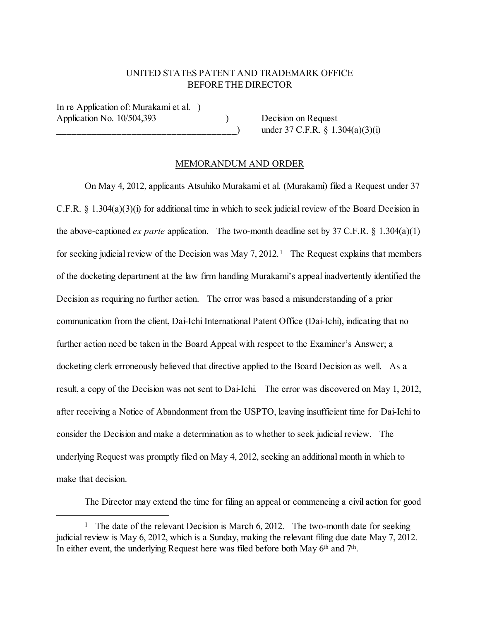## UNITED STATES PATENT AND TRADEMARK OFFICE BEFORE THE DIRECTOR

In re Application of: Murakami et al. ) Application No. 10/504,393 Decision on Request

 $\Box$  under 37 C.F.R. § 1.304(a)(3)(i)

## MEMORANDUM AND ORDER

On May 4, 2012, applicants Atsuhiko Murakami et al. (Murakami) filed a Request under 37 C.F.R. § 1.304(a)(3)(i) for additional time in which to seek judicial review of the Board Decision in the above-captioned *ex parte* application. The two-month deadline set by 37 C.F.R. § 1.304(a)(1) for seeking judicial review of the Decision was May 7, 2012.<sup>1</sup> The Request explains that members of the docketing department at the law firm handling Murakami's appeal inadvertently identified the Decision as requiring no further action. The error was based a misunderstanding of a prior communication from the client, Dai-Ichi International Patent Office (Dai-Ichi), indicating that no further action need be taken in the Board Appeal with respect to the Examiner's Answer; a docketing clerk erroneously believed that directive applied to the Board Decision as well. As a result, a copy of the Decision was not sent to Dai-Ichi. The error was discovered on May 1, 2012, after receiving a Notice of Abandonment from the USPTO, leaving insufficient time for Dai-Ichi to consider the Decision and make a determination as to whether to seek judicial review. The underlying Request was promptly filed on May 4, 2012, seeking an additional month in which to make that decision.

The Director may extend the time for filing an appeal or commencing a civil action for good

<span id="page-0-0"></span><sup>&</sup>lt;sup>1</sup> The date of the relevant Decision is March 6, 2012. The two-month date for seeking judicial review is May 6, 2012, which is a Sunday, making the relevant filing due date May 7, 2012. In either event, the underlying Request here was filed before both May 6<sup>th</sup> and 7<sup>th</sup>.